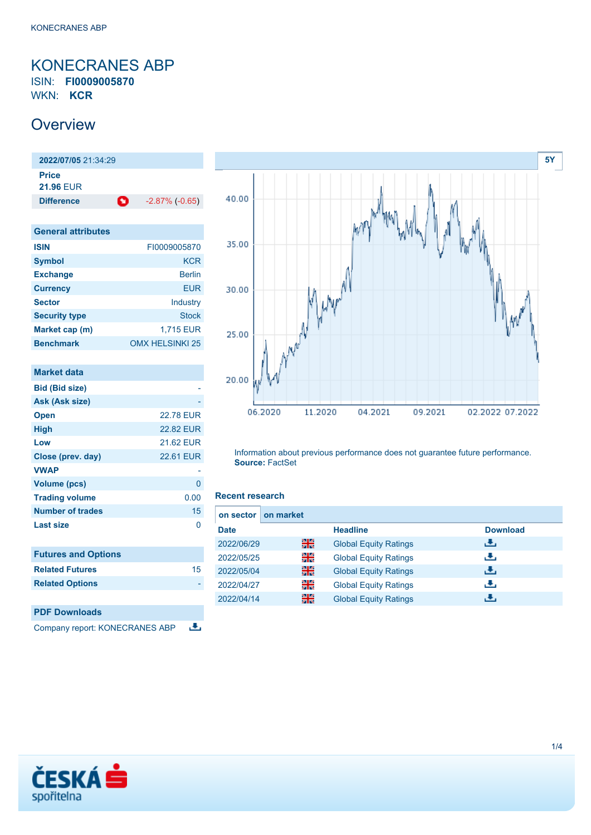## <span id="page-0-0"></span>KONECRANES ABP ISIN: **FI0009005870**

WKN: **KCR**

### **Overview**

**2022/07/05** 21:34:29 **Price 21.96** EUR **Difference C** -2.87% (-0.65)

| <b>General attributes</b> |                        |
|---------------------------|------------------------|
| <b>ISIN</b>               | FI0009005870           |
| <b>Symbol</b>             | <b>KCR</b>             |
| <b>Exchange</b>           | <b>Berlin</b>          |
| <b>Currency</b>           | EUR                    |
| <b>Sector</b>             | Industry               |
| <b>Security type</b>      | <b>Stock</b>           |
| Market cap (m)            | 1,715 EUR              |
| <b>Benchmark</b>          | <b>OMX HELSINKI 25</b> |

| Market data                    |                  |
|--------------------------------|------------------|
| <b>Bid (Bid size)</b>          |                  |
| Ask (Ask size)                 |                  |
| <b>Open</b>                    | <b>22.78 EUR</b> |
| <b>High</b>                    | <b>22.82 EUR</b> |
| Low                            | 21.62 EUR        |
| Close (prev. day)              | <b>22.61 EUR</b> |
| <b>VWAP</b>                    |                  |
| <b>Volume (pcs)</b>            | 0                |
| <b>Trading volume</b>          | 0.00             |
| Number of trades               | 15               |
| Last size                      | 0                |
| <b>Futures and Options</b>     |                  |
| <b>Related Futures</b>         | 15               |
| <b>Related Options</b>         |                  |
|                                |                  |
| <b>PDF Downloads</b>           |                  |
| Company report: KONECRANES ABP |                  |



Information about previous performance does not guarantee future performance. **Source:** FactSet

### **Recent research**

| on sector I | on market |                              |                 |
|-------------|-----------|------------------------------|-----------------|
| <b>Date</b> |           | <b>Headline</b>              | <b>Download</b> |
| 2022/06/29  | 을중        | <b>Global Equity Ratings</b> | رالى            |
| 2022/05/25  | 을         | <b>Global Equity Ratings</b> | æ,              |
| 2022/05/04  | 噐         | <b>Global Equity Ratings</b> | رالى            |
| 2022/04/27  | 을         | <b>Global Equity Ratings</b> | æ,              |
| 2022/04/14  | 噐         | <b>Global Equity Ratings</b> | d.              |

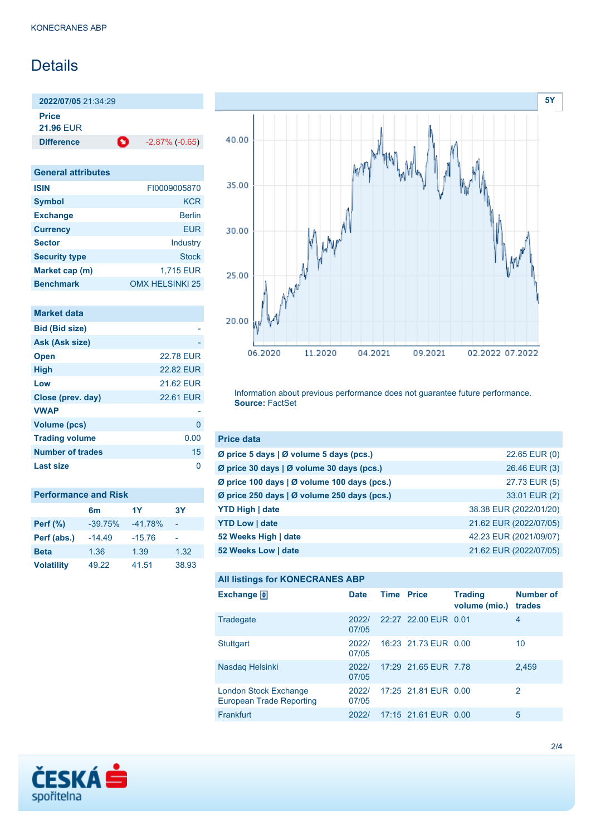### **Details**

**2022/07/05** 21:34:29

**Price**

**21.96** EUR

**Difference 1** -2.87% (-0.65)

| <b>General attributes</b> |                        |
|---------------------------|------------------------|
| <b>ISIN</b>               | FI0009005870           |
| <b>Symbol</b>             | KCR                    |
| <b>Exchange</b>           | <b>Berlin</b>          |
| <b>Currency</b>           | FUR                    |
| <b>Sector</b>             | Industry               |
| <b>Security type</b>      | <b>Stock</b>           |
| Market cap (m)            | 1,715 EUR              |
| <b>Benchmark</b>          | <b>OMX HELSINKI 25</b> |

| <b>22.78 EUR</b> |
|------------------|
| <b>22.82 EUR</b> |
| 21.62 EUR        |
| <b>22.61 EUR</b> |
|                  |
| 0                |
| 0.00             |
| 15               |
|                  |
|                  |

| <b>Performance and Risk</b> |                |           |       |  |
|-----------------------------|----------------|-----------|-------|--|
|                             | 6 <sub>m</sub> | 1Y        | 3Y    |  |
| <b>Perf (%)</b>             | $-39.75%$      | $-41.78%$ |       |  |
| Perf (abs.)                 | $-14.49$       | $-15.76$  |       |  |
| <b>Beta</b>                 | 1.36           | 1.39      | 1.32  |  |
| <b>Volatility</b>           | 49.22          | 41.51     | 38.93 |  |



Information about previous performance does not guarantee future performance. **Source:** FactSet

| <b>Price data</b>                           |                        |
|---------------------------------------------|------------------------|
| Ø price 5 days   Ø volume 5 days (pcs.)     | 22.65 EUR (0)          |
| Ø price 30 days   Ø volume 30 days (pcs.)   | 26.46 EUR (3)          |
| Ø price 100 days   Ø volume 100 days (pcs.) | 27.73 EUR (5)          |
| Ø price 250 days   Ø volume 250 days (pcs.) | 33.01 EUR (2)          |
| <b>YTD High   date</b>                      | 38.38 EUR (2022/01/20) |
| <b>YTD Low   date</b>                       | 21.62 EUR (2022/07/05) |
| 52 Weeks High   date                        | 42.23 EUR (2021/09/07) |
| 52 Weeks Low   date                         | 21.62 EUR (2022/07/05) |

#### **All listings for KONECRANES ABP**

| ⊷                                                        |                |                   |                      |                                 |                            |
|----------------------------------------------------------|----------------|-------------------|----------------------|---------------------------------|----------------------------|
| Exchange $\Box$                                          | <b>Date</b>    | <b>Time Price</b> |                      | <b>Trading</b><br>volume (mio.) | <b>Number of</b><br>trades |
| Tradegate                                                | 2022/<br>07/05 |                   | 22:27 22:00 EUR 0.01 |                                 | 4                          |
| Stuttgart                                                | 2022/<br>07/05 |                   | 16:23 21.73 EUR 0.00 |                                 | 10                         |
| Nasdag Helsinki                                          | 2022/<br>07/05 |                   | 17:29 21.65 EUR 7.78 |                                 | 2,459                      |
| London Stock Exchange<br><b>European Trade Reporting</b> | 2022/<br>07/05 |                   | 17:25 21.81 EUR 0.00 |                                 | 2                          |
| Frankfurt                                                | 2022/          |                   | 17:15 21.61 EUR 0.00 |                                 | 5                          |

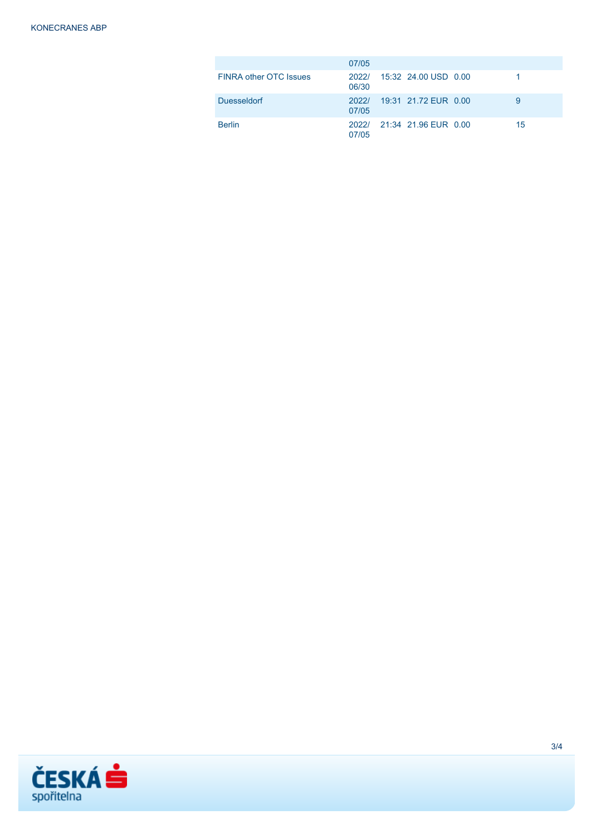|                               | 07/05          |                            |    |
|-------------------------------|----------------|----------------------------|----|
| <b>FINRA other OTC Issues</b> | 06/30          | 2022/ 15:32 24.00 USD 0.00 |    |
| <b>Duesseldorf</b>            | 2022/<br>07/05 | 19:31 21.72 FUR 0.00       | 9  |
| <b>Berlin</b>                 | 07/05          | 2022/ 21:34 21.96 EUR 0.00 | 15 |